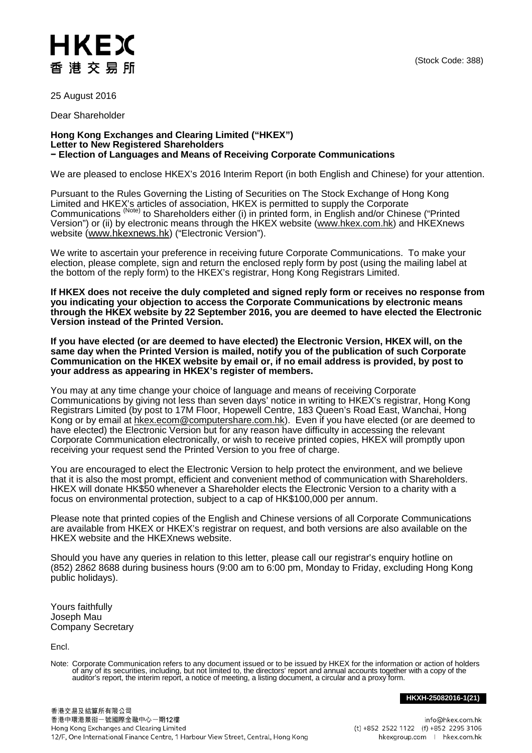## HKEX 香 港 交 易 所

25 August 2016

Dear Shareholder

## **Hong Kong Exchanges and Clearing Limited ("HKEX") Letter to New Registered Shareholders − Election of Languages and Means of Receiving Corporate Communications**

We are pleased to enclose HKEX's 2016 Interim Report (in both English and Chinese) for your attention.

Pursuant to the Rules Governing the Listing of Securities on The Stock Exchange of Hong Kong Limited and HKEX's articles of association, HKEX is permitted to supply the Corporate Communications <sup>(Note)</sup> to Shareholders either (i) in printed form, in English and/or Chinese ("Printed Version") or (ii) by electronic means through the HKEX website [\(www.hkex.com.hk\)](http://www.hkex.com.hk/) and HKEXnews website [\(www.hkexnews.hk\)](http://www.hkexnews.hk/) ("Electronic Version").

We write to ascertain your preference in receiving future Corporate Communications. To make your election, please complete, sign and return the enclosed reply form by post (using the mailing label at the bottom of the reply form) to the HKEX's registrar, Hong Kong Registrars Limited.

**If HKEX does not receive the duly completed and signed reply form or receives no response from you indicating your objection to access the Corporate Communications by electronic means through the HKEX website by 22 September 2016, you are deemed to have elected the Electronic Version instead of the Printed Version.** 

**If you have elected (or are deemed to have elected) the Electronic Version, HKEX will, on the same day when the Printed Version is mailed, notify you of the publication of such Corporate Communication on the HKEX website by email or, if no email address is provided, by post to your address as appearing in HKEX's register of members.**

You may at any time change your choice of language and means of receiving Corporate Communications by giving not less than seven days' notice in writing to HKEX's registrar, Hong Kong Registrars Limited (by post to 17M Floor, Hopewell Centre, 183 Queen's Road East, Wanchai, Hong Kong or by email at [hkex.ecom@computershare.com.hk\)](mailto:hkex.ecom@computershare.com.hk). Even if you have elected (or are deemed to have elected) the Electronic Version but for any reason have difficulty in accessing the relevant Corporate Communication electronically, or wish to receive printed copies, HKEX will promptly upon receiving your request send the Printed Version to you free of charge.

You are encouraged to elect the Electronic Version to help protect the environment, and we believe that it is also the most prompt, efficient and convenient method of communication with Shareholders. HKEX will donate HK\$50 whenever a Shareholder elects the Electronic Version to a charity with a focus on environmental protection, subject to a cap of HK\$100,000 per annum.

Please note that printed copies of the English and Chinese versions of all Corporate Communications are available from HKEX or HKEX's registrar on request, and both versions are also available on the HKEX website and the HKEXnews website.

Should you have any queries in relation to this letter, please call our registrar's enquiry hotline on (852) 2862 8688 during business hours (9:00 am to 6:00 pm, Monday to Friday, excluding Hong Kong public holidays).

Yours faithfully Joseph Mau Company Secretary

Encl.

Note: Corporate Communication refers to any document issued or to be issued by HKEX for the information or action of holders of any of its securities, including, but not limited to, the directors' report and annual accounts together with a copy of the<br>auditor's report, the interim report, a notice of meeting, a listing document, a circular and a

**HKXH-25082016-1(21)**